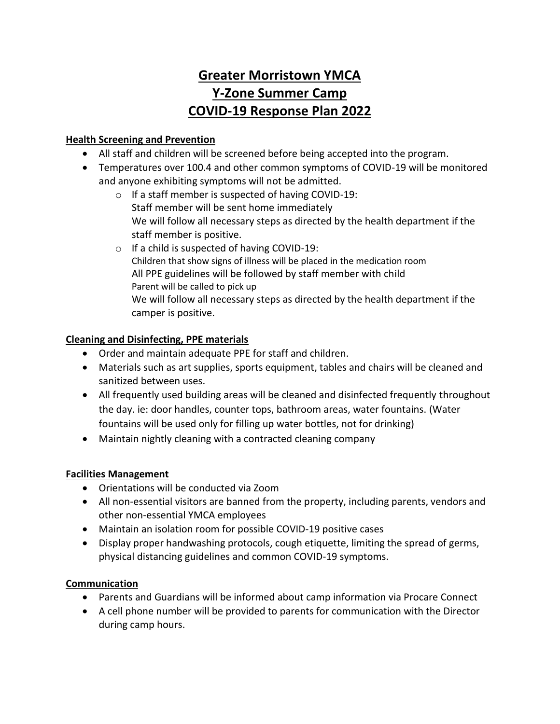# **Greater Morristown YMCA Y-Zone Summer Camp COVID-19 Response Plan 2022**

## **Health Screening and Prevention**

- All staff and children will be screened before being accepted into the program.
- Temperatures over 100.4 and other common symptoms of COVID-19 will be monitored and anyone exhibiting symptoms will not be admitted.
	- o If a staff member is suspected of having COVID-19: Staff member will be sent home immediately We will follow all necessary steps as directed by the health department if the staff member is positive.
	- o If a child is suspected of having COVID-19: Children that show signs of illness will be placed in the medication room All PPE guidelines will be followed by staff member with child Parent will be called to pick up We will follow all necessary steps as directed by the health department if the camper is positive.

## **Cleaning and Disinfecting, PPE materials**

- Order and maintain adequate PPE for staff and children.
- Materials such as art supplies, sports equipment, tables and chairs will be cleaned and sanitized between uses.
- All frequently used building areas will be cleaned and disinfected frequently throughout the day. ie: door handles, counter tops, bathroom areas, water fountains. (Water fountains will be used only for filling up water bottles, not for drinking)
- Maintain nightly cleaning with a contracted cleaning company

#### **Facilities Management**

- Orientations will be conducted via Zoom
- All non-essential visitors are banned from the property, including parents, vendors and other non-essential YMCA employees
- Maintain an isolation room for possible COVID-19 positive cases
- Display proper handwashing protocols, cough etiquette, limiting the spread of germs, physical distancing guidelines and common COVID-19 symptoms.

#### **Communication**

- Parents and Guardians will be informed about camp information via Procare Connect
- A cell phone number will be provided to parents for communication with the Director during camp hours.